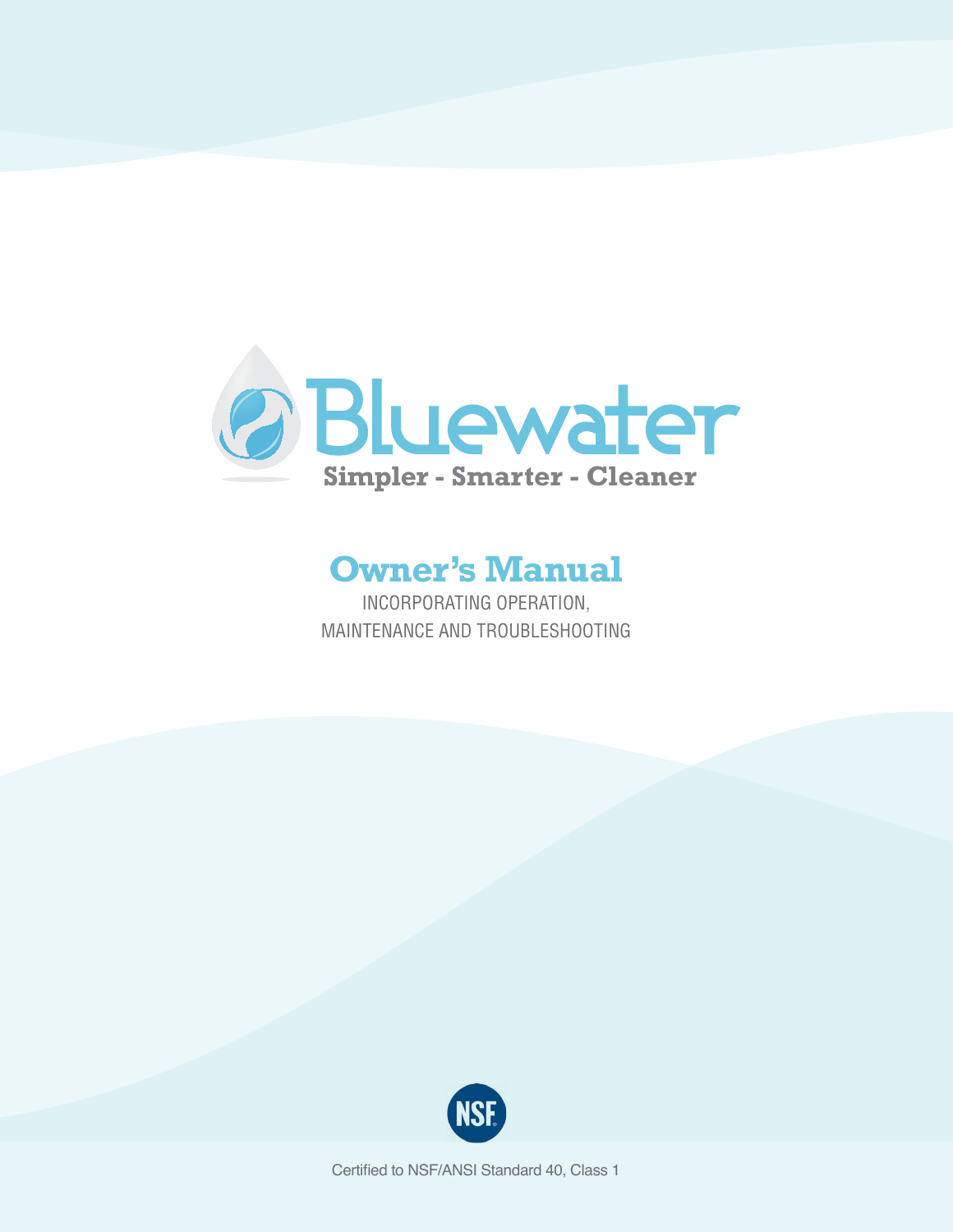

## **Owner's Manual**

Incorporating Operation, Maintenance and Troubleshooting



Certified to NSF/ANSI Standard 40, Class 1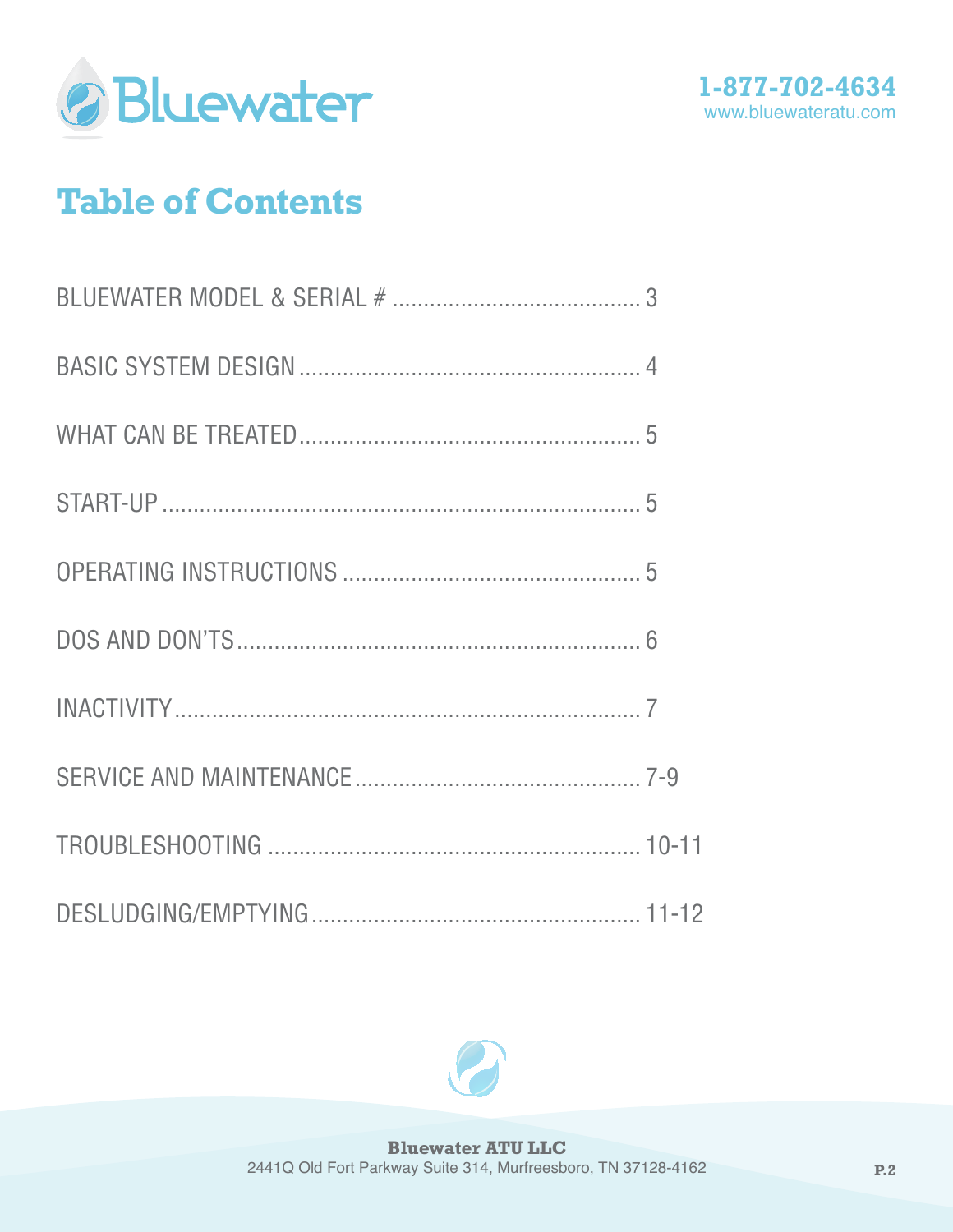



# **Table of Contents**

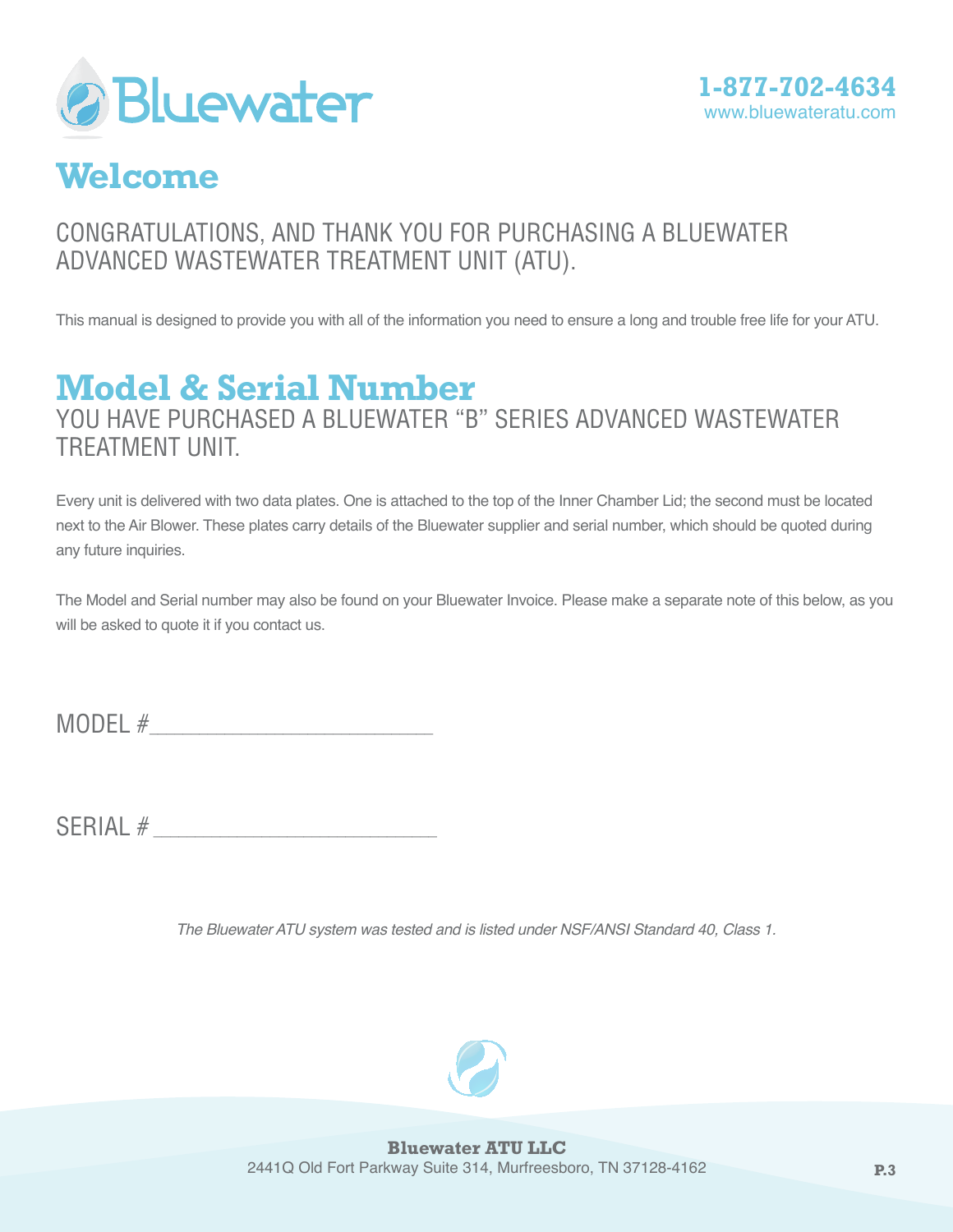



## **Welcome**

### Congratulations, and thank you for purchasing a Bluewater Advanced Wastewater Treatment Unit (ATU).

This manual is designed to provide you with all of the information you need to ensure a long and trouble free life for your ATU.

## **Model & Serial Number**

You have purchased a Bluewater "B" Series Advanced Wastewater Treatment Unit.

Every unit is delivered with two data plates. One is attached to the top of the Inner Chamber Lid; the second must be located next to the Air Blower. These plates carry details of the Bluewater supplier and serial number, which should be quoted during any future inquiries.

The Model and Serial number may also be found on your Bluewater Invoice. Please make a separate note of this below, as you will be asked to quote it if you contact us.

MODEL  $#$ 

 $SERIAL #$ 

*The Bluewater ATU system was tested and is listed under NSF/ANSI Standard 40, Class 1.*

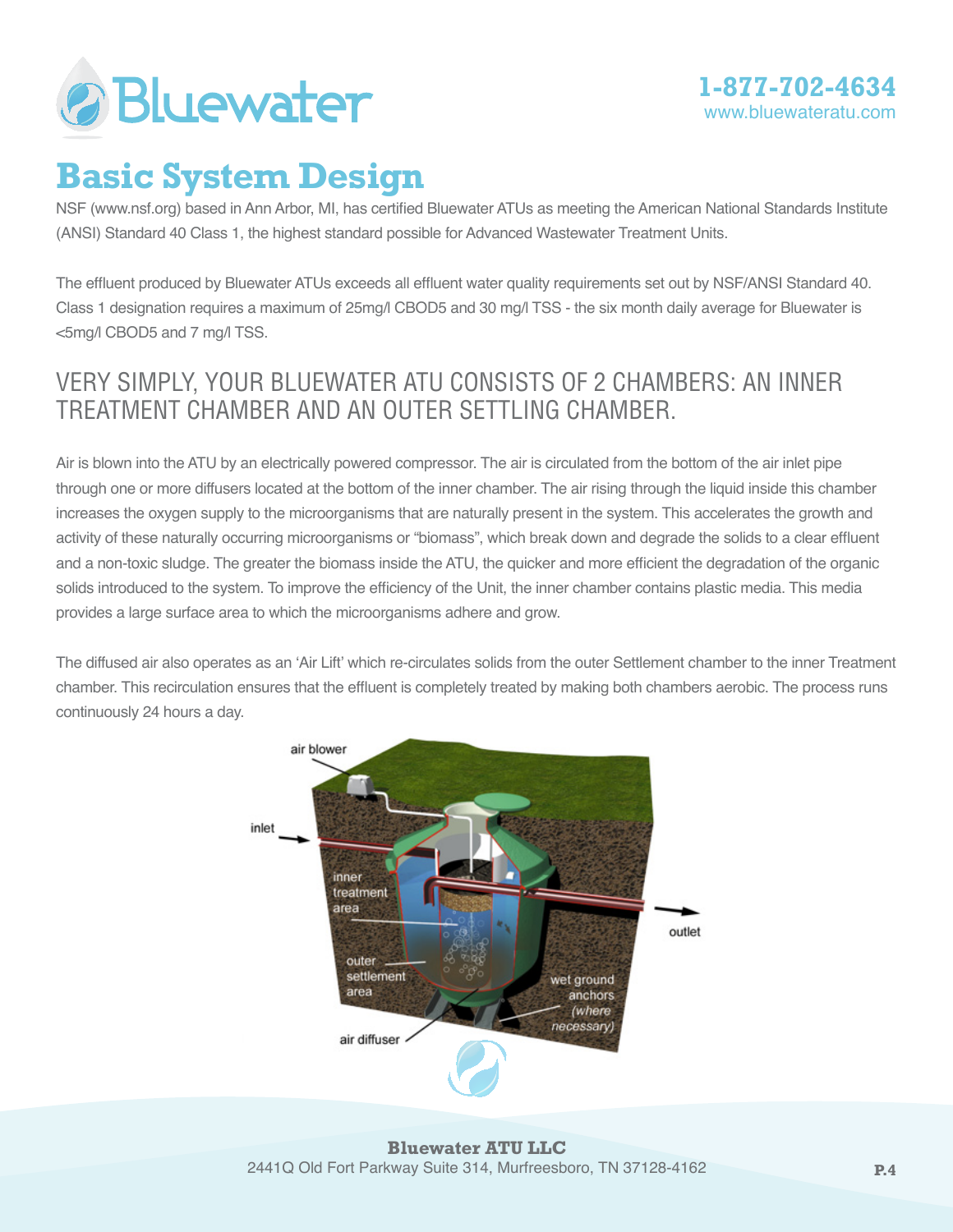

## **Basic System Design**

NSF (www.nsf.org) based in Ann Arbor, MI, has certified Bluewater ATUs as meeting the American National Standards Institute (ANSI) Standard 40 Class 1, the highest standard possible for Advanced Wastewater Treatment Units.

The effluent produced by Bluewater ATUs exceeds all effluent water quality requirements set out by NSF/ANSI Standard 40. Class 1 designation requires a maximum of 25mg/l CBOD5 and 30 mg/l TSS - the six month daily average for Bluewater is <5mg/l CBOD5 and 7 mg/l TSS.

### Very simply, your Bluewater ATU consists of 2 chambers: an inner Treatment chamber and an outer Settling chamber.

Air is blown into the ATU by an electrically powered compressor. The air is circulated from the bottom of the air inlet pipe through one or more diffusers located at the bottom of the inner chamber. The air rising through the liquid inside this chamber increases the oxygen supply to the microorganisms that are naturally present in the system. This accelerates the growth and activity of these naturally occurring microorganisms or "biomass", which break down and degrade the solids to a clear effluent and a non-toxic sludge. The greater the biomass inside the ATU, the quicker and more efficient the degradation of the organic solids introduced to the system. To improve the efficiency of the Unit, the inner chamber contains plastic media. This media provides a large surface area to which the microorganisms adhere and grow.

The diffused air also operates as an 'Air Lift' which re-circulates solids from the outer Settlement chamber to the inner Treatment chamber. This recirculation ensures that the effluent is completely treated by making both chambers aerobic. The process runs continuously 24 hours a day.



**Bluewater ATU LLC** 2441Q Old Fort Parkway Suite 314, Murfreesboro, TN 37128-4162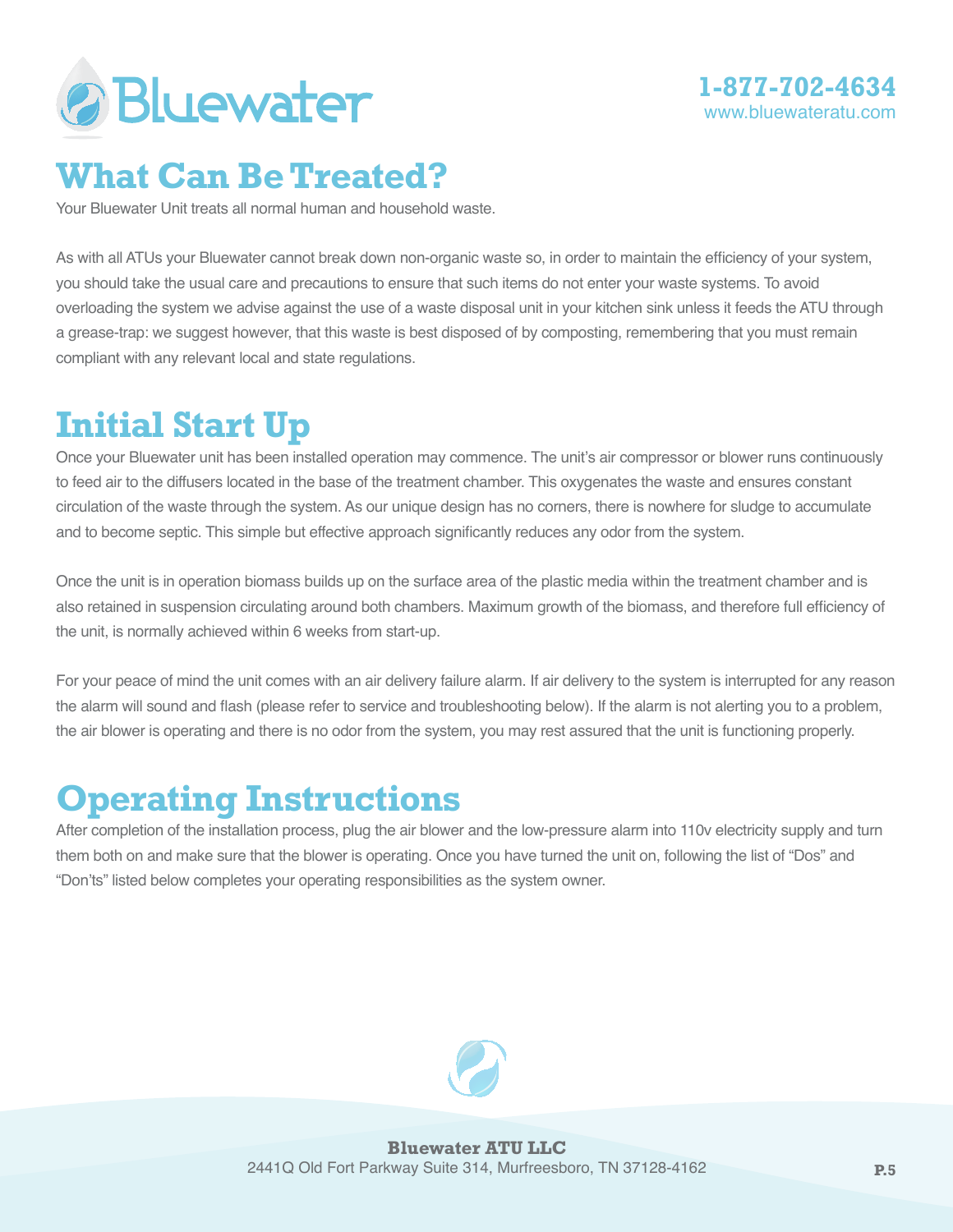



## **What Can Be Treated?**

Your Bluewater Unit treats all normal human and household waste.

As with all ATUs your Bluewater cannot break down non-organic waste so, in order to maintain the efficiency of your system, you should take the usual care and precautions to ensure that such items do not enter your waste systems. To avoid overloading the system we advise against the use of a waste disposal unit in your kitchen sink unless it feeds the ATU through a grease-trap: we suggest however, that this waste is best disposed of by composting, remembering that you must remain compliant with any relevant local and state regulations.

# **Initial Start Up**

Once your Bluewater unit has been installed operation may commence. The unit's air compressor or blower runs continuously to feed air to the diffusers located in the base of the treatment chamber. This oxygenates the waste and ensures constant circulation of the waste through the system. As our unique design has no corners, there is nowhere for sludge to accumulate and to become septic. This simple but effective approach significantly reduces any odor from the system.

Once the unit is in operation biomass builds up on the surface area of the plastic media within the treatment chamber and is also retained in suspension circulating around both chambers. Maximum growth of the biomass, and therefore full efficiency of the unit, is normally achieved within 6 weeks from start-up.

For your peace of mind the unit comes with an air delivery failure alarm. If air delivery to the system is interrupted for any reason the alarm will sound and flash (please refer to service and troubleshooting below). If the alarm is not alerting you to a problem, the air blower is operating and there is no odor from the system, you may rest assured that the unit is functioning properly.

# **Operating Instructions**

After completion of the installation process, plug the air blower and the low-pressure alarm into 110v electricity supply and turn them both on and make sure that the blower is operating. Once you have turned the unit on, following the list of "Dos" and "Don'ts" listed below completes your operating responsibilities as the system owner.

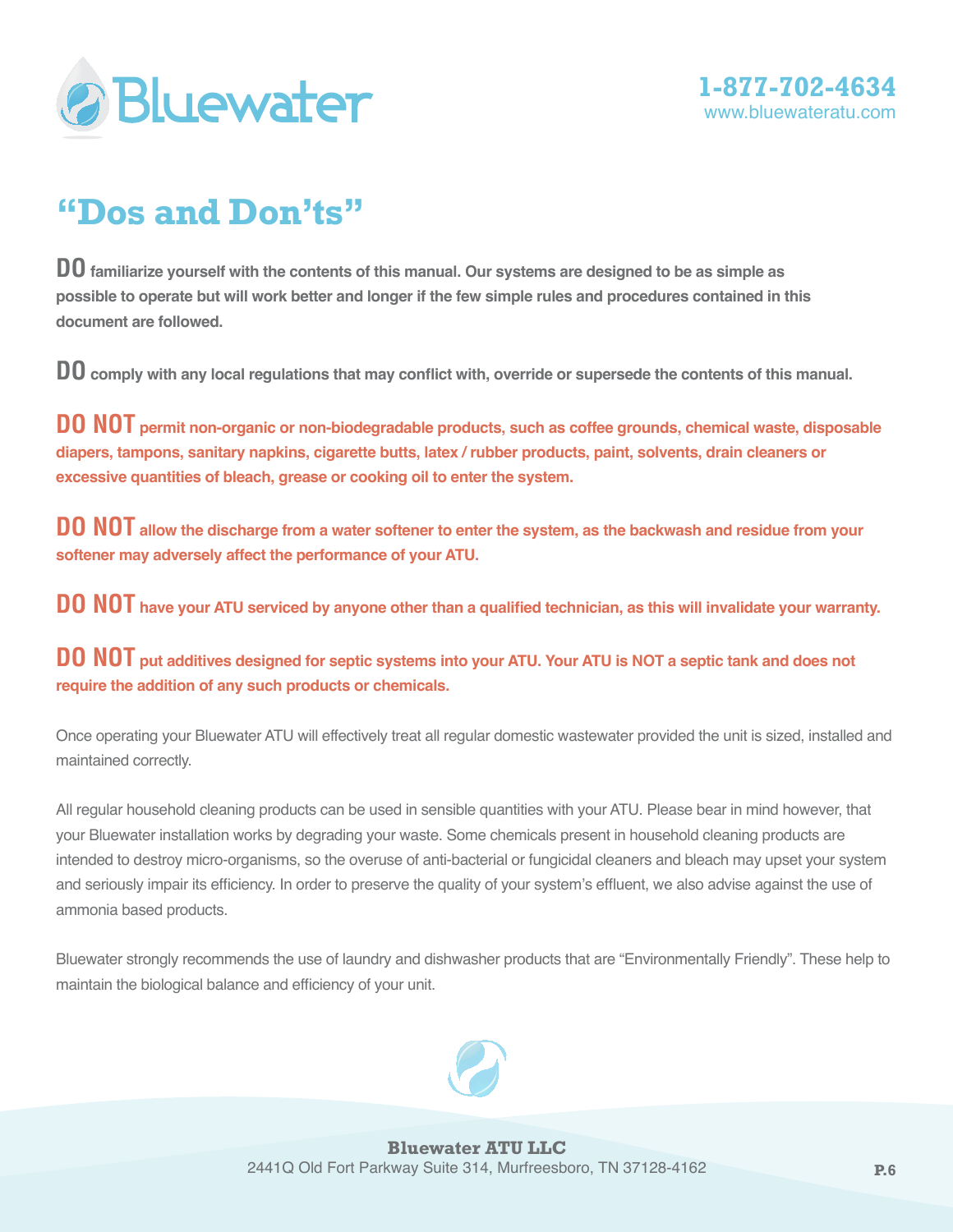



# **"Dos and Don'ts"**

**DO familiarize yourself with the contents of this manual. Our systems are designed to be as simple as possible to operate but will work better and longer if the few simple rules and procedures contained in this document are followed.**

**DO comply with any local regulations that may conflict with, override or supersede the contents of this manual.**

**DO NOT permit non-organic or non-biodegradable products, such as coffee grounds, chemical waste, disposable diapers, tampons, sanitary napkins, cigarette butts, latex / rubber products, paint, solvents, drain cleaners or excessive quantities of bleach, grease or cooking oil to enter the system.**

**DO NOT allow the discharge from a water softener to enter the system, as the backwash and residue from your softener may adversely affect the performance of your ATU.**

**DO NOT have your ATU serviced by anyone other than a qualified technician, as this will invalidate your warranty.**

**DO NOT put additives designed for septic systems into your ATU. Your ATU is NOT a septic tank and does not require the addition of any such products or chemicals.**

Once operating your Bluewater ATU will effectively treat all regular domestic wastewater provided the unit is sized, installed and maintained correctly.

All regular household cleaning products can be used in sensible quantities with your ATU. Please bear in mind however, that your Bluewater installation works by degrading your waste. Some chemicals present in household cleaning products are intended to destroy micro-organisms, so the overuse of anti-bacterial or fungicidal cleaners and bleach may upset your system and seriously impair its efficiency. In order to preserve the quality of your system's effluent, we also advise against the use of ammonia based products.

Bluewater strongly recommends the use of laundry and dishwasher products that are "Environmentally Friendly". These help to maintain the biological balance and efficiency of your unit.

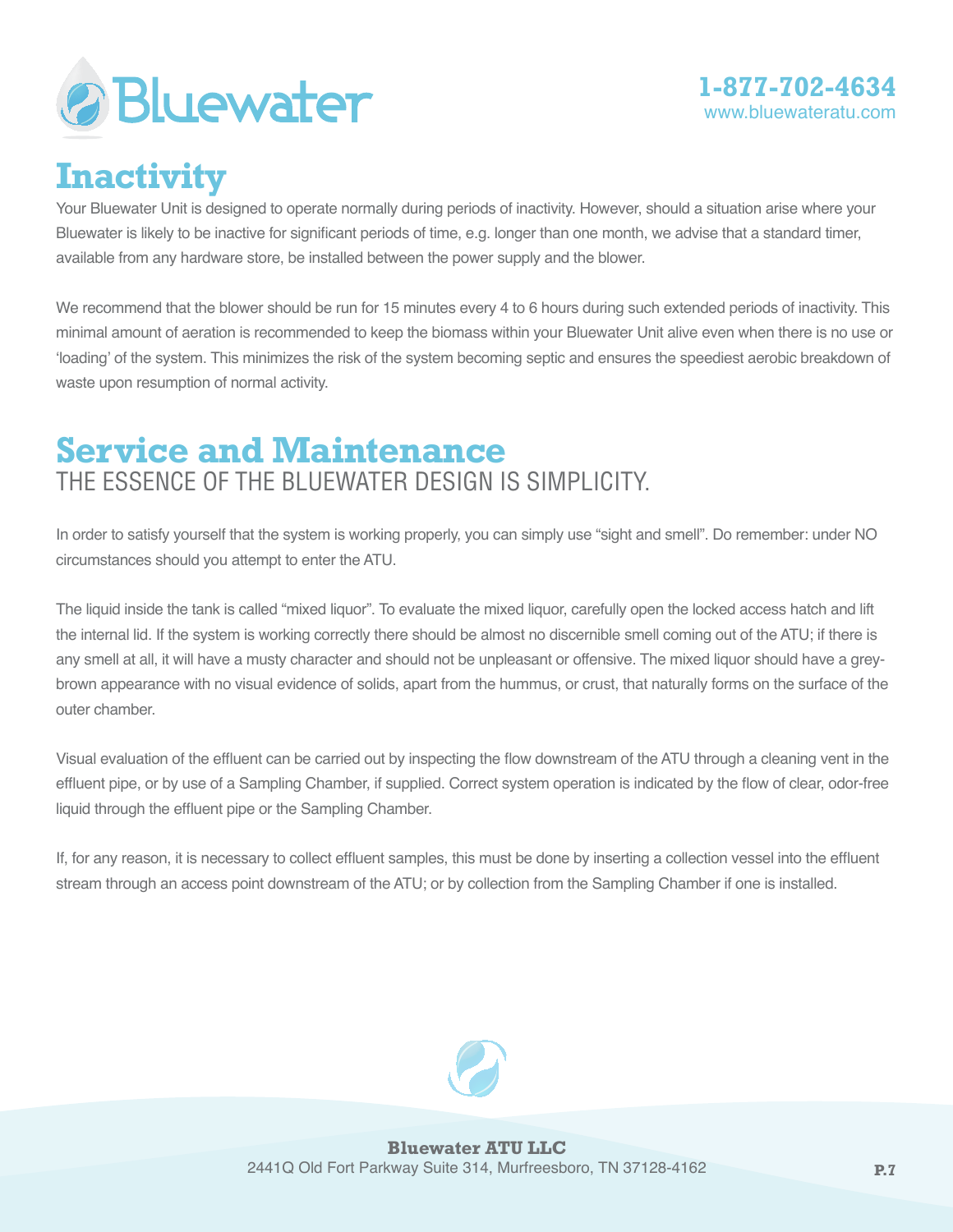

# **Inactivity**

Your Bluewater Unit is designed to operate normally during periods of inactivity. However, should a situation arise where your Bluewater is likely to be inactive for significant periods of time, e.g. longer than one month, we advise that a standard timer, available from any hardware store, be installed between the power supply and the blower.

We recommend that the blower should be run for 15 minutes every 4 to 6 hours during such extended periods of inactivity. This minimal amount of aeration is recommended to keep the biomass within your Bluewater Unit alive even when there is no use or 'loading' of the system. This minimizes the risk of the system becoming septic and ensures the speediest aerobic breakdown of waste upon resumption of normal activity.

### **Service and Maintenance** The essence of the Bluewater design is simplicity.

In order to satisfy yourself that the system is working properly, you can simply use "sight and smell". Do remember: under NO circumstances should you attempt to enter the ATU.

The liquid inside the tank is called "mixed liquor". To evaluate the mixed liquor, carefully open the locked access hatch and lift the internal lid. If the system is working correctly there should be almost no discernible smell coming out of the ATU; if there is any smell at all, it will have a musty character and should not be unpleasant or offensive. The mixed liquor should have a greybrown appearance with no visual evidence of solids, apart from the hummus, or crust, that naturally forms on the surface of the outer chamber.

Visual evaluation of the effluent can be carried out by inspecting the flow downstream of the ATU through a cleaning vent in the effluent pipe, or by use of a Sampling Chamber, if supplied. Correct system operation is indicated by the flow of clear, odor-free liquid through the effluent pipe or the Sampling Chamber.

If, for any reason, it is necessary to collect effluent samples, this must be done by inserting a collection vessel into the effluent stream through an access point downstream of the ATU; or by collection from the Sampling Chamber if one is installed.

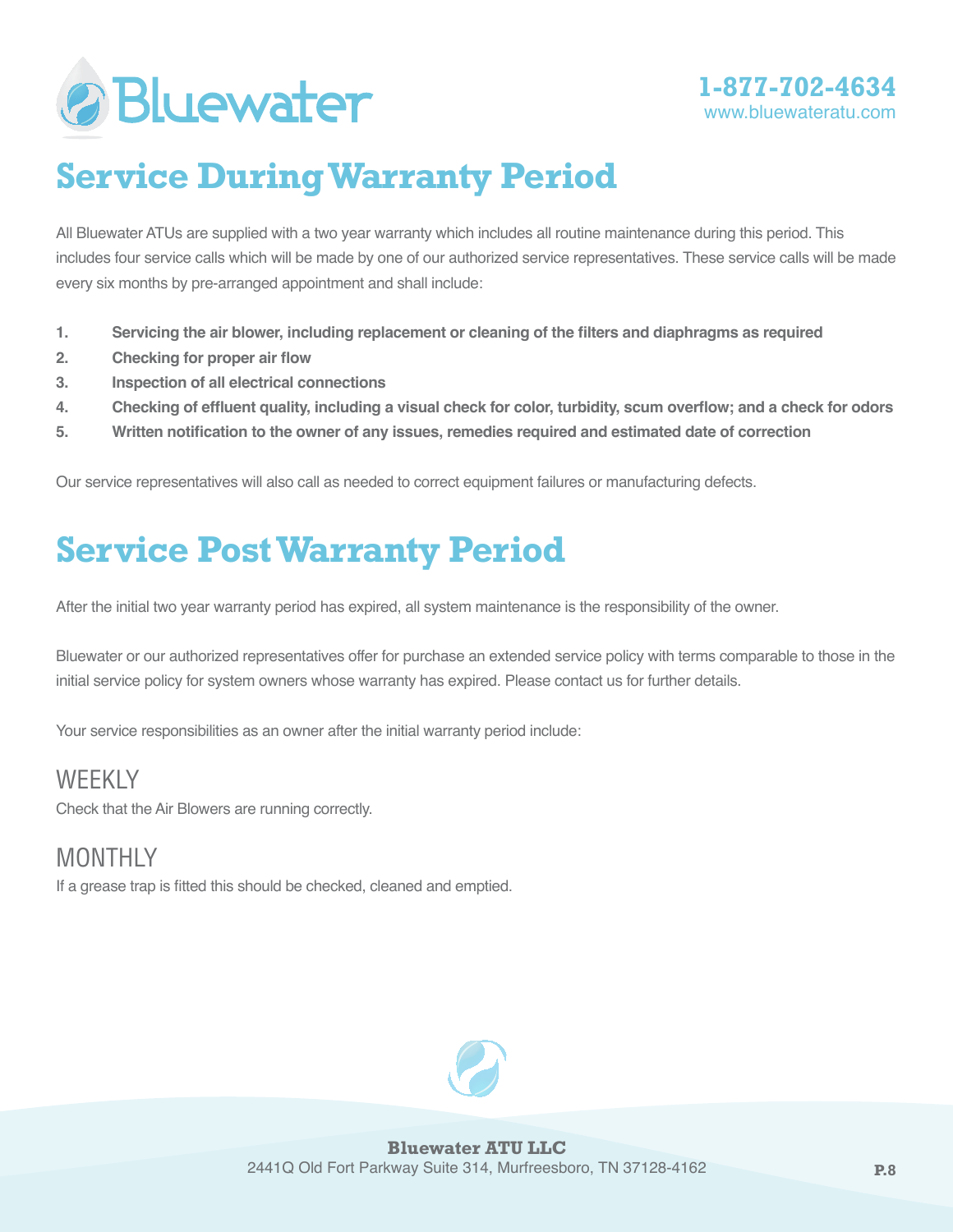



# **Service During Warranty Period**

All Bluewater ATUs are supplied with a two year warranty which includes all routine maintenance during this period. This includes four service calls which will be made by one of our authorized service representatives. These service calls will be made every six months by pre-arranged appointment and shall include:

- **1. Servicing the air blower, including replacement or cleaning of the filters and diaphragms as required**
- **2. Checking for proper air flow**
- **3. Inspection of all electrical connections**
- **4. Checking of effluent quality, including a visual check for color, turbidity, scum overflow; and a check for odors**
- **5. Written notification to the owner of any issues, remedies required and estimated date of correction**

Our service representatives will also call as needed to correct equipment failures or manufacturing defects.

# **Service Post Warranty Period**

After the initial two year warranty period has expired, all system maintenance is the responsibility of the owner.

Bluewater or our authorized representatives offer for purchase an extended service policy with terms comparable to those in the initial service policy for system owners whose warranty has expired. Please contact us for further details.

Your service responsibilities as an owner after the initial warranty period include:

### WEEKI<sub>Y</sub>

Check that the Air Blowers are running correctly.

### MONTHI<sub>Y</sub>

If a grease trap is fitted this should be checked, cleaned and emptied.

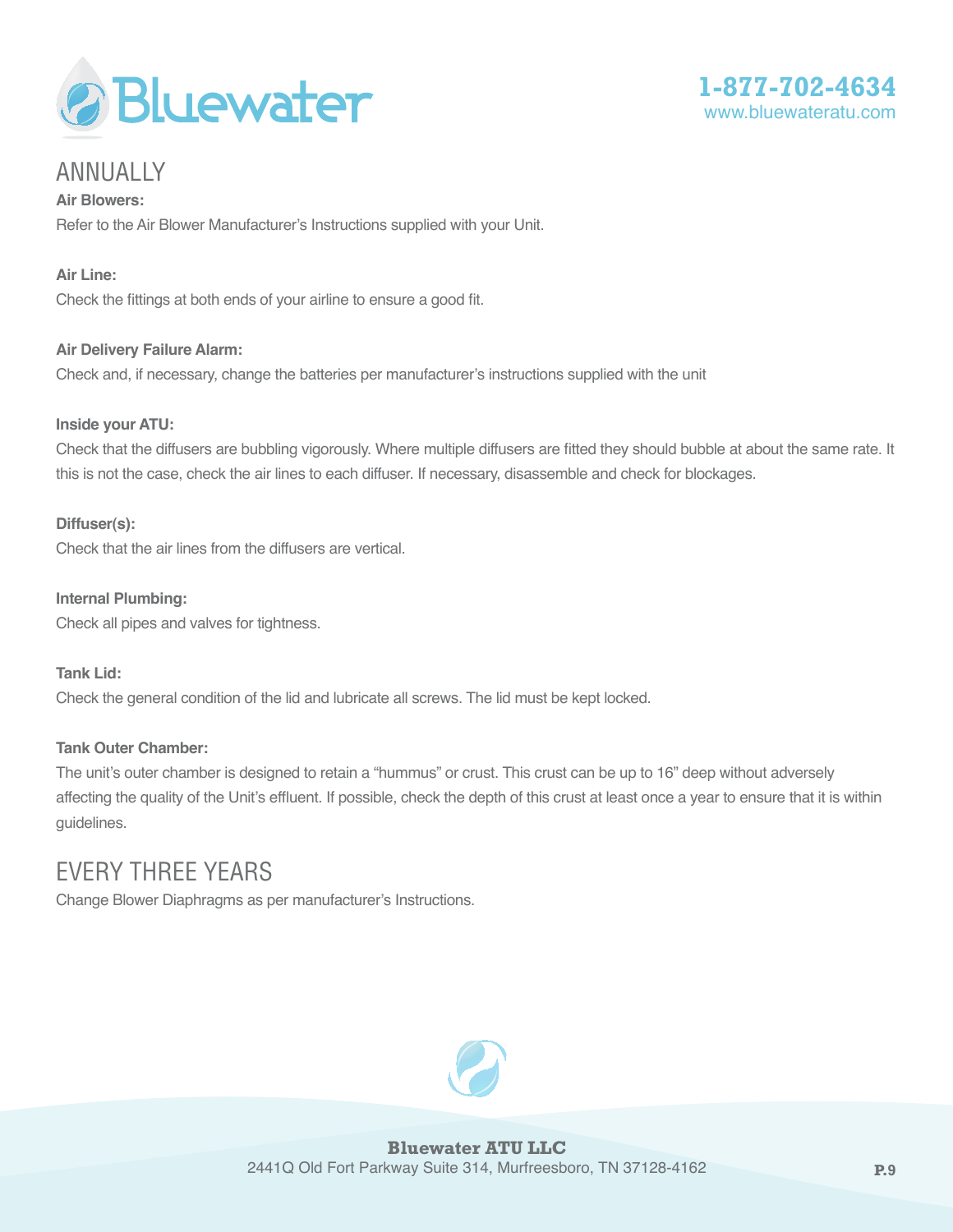



### Annually

**Air Blowers:** Refer to the Air Blower Manufacturer's Instructions supplied with your Unit.

#### **Air Line:**

Check the fittings at both ends of your airline to ensure a good fit.

#### **Air Delivery Failure Alarm:**

Check and, if necessary, change the batteries per manufacturer's instructions supplied with the unit

#### **Inside your ATU:**

Check that the diffusers are bubbling vigorously. Where multiple diffusers are fitted they should bubble at about the same rate. It this is not the case, check the air lines to each diffuser. If necessary, disassemble and check for blockages.

#### **Diffuser(s):**

Check that the air lines from the diffusers are vertical.

**Internal Plumbing:** Check all pipes and valves for tightness.

**Tank Lid:** Check the general condition of the lid and lubricate all screws. The lid must be kept locked.

#### **Tank Outer Chamber:**

The unit's outer chamber is designed to retain a "hummus" or crust. This crust can be up to 16" deep without adversely affecting the quality of the Unit's effluent. If possible, check the depth of this crust at least once a year to ensure that it is within guidelines.

### Every three years

Change Blower Diaphragms as per manufacturer's Instructions.

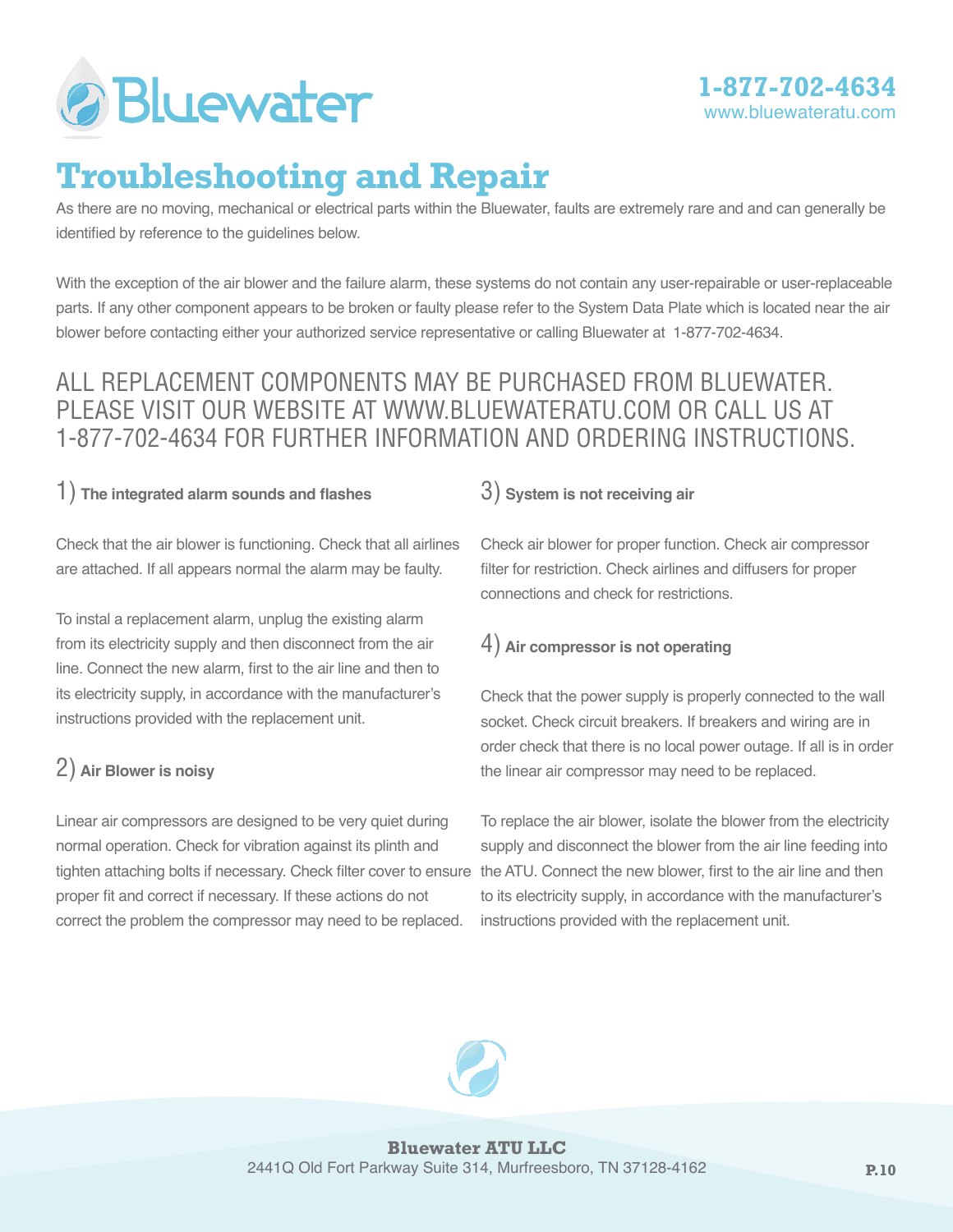

# **Troubleshooting and Repair**

As there are no moving, mechanical or electrical parts within the Bluewater, faults are extremely rare and and can generally be identified by reference to the guidelines below.

With the exception of the air blower and the failure alarm, these systems do not contain any user-repairable or user-replaceable parts. If any other component appears to be broken or faulty please refer to the System Data Plate which is located near the air blower before contacting either your authorized service representative or calling Bluewater at 1-877-702-4634.

### All replacement components may be purchased from Bluewater. Please visit our website at www.bluewateratu.com or call us at 1-877-702-4634 for further information and ordering instructions.

### 1) **The integrated alarm sounds and flashes**

Check that the air blower is functioning. Check that all airlines are attached. If all appears normal the alarm may be faulty.

To instal a replacement alarm, unplug the existing alarm from its electricity supply and then disconnect from the air line. Connect the new alarm, first to the air line and then to its electricity supply, in accordance with the manufacturer's instructions provided with the replacement unit.

### 2) **Air Blower is noisy**

Linear air compressors are designed to be very quiet during normal operation. Check for vibration against its plinth and tighten attaching bolts if necessary. Check filter cover to ensure proper fit and correct if necessary. If these actions do not correct the problem the compressor may need to be replaced.

### 3) **System is not receiving air**

Check air blower for proper function. Check air compressor filter for restriction. Check airlines and diffusers for proper connections and check for restrictions.

### 4) **Air compressor is not operating**

Check that the power supply is properly connected to the wall socket. Check circuit breakers. If breakers and wiring are in order check that there is no local power outage. If all is in order the linear air compressor may need to be replaced.

To replace the air blower, isolate the blower from the electricity supply and disconnect the blower from the air line feeding into the ATU. Connect the new blower, first to the air line and then to its electricity supply, in accordance with the manufacturer's instructions provided with the replacement unit.

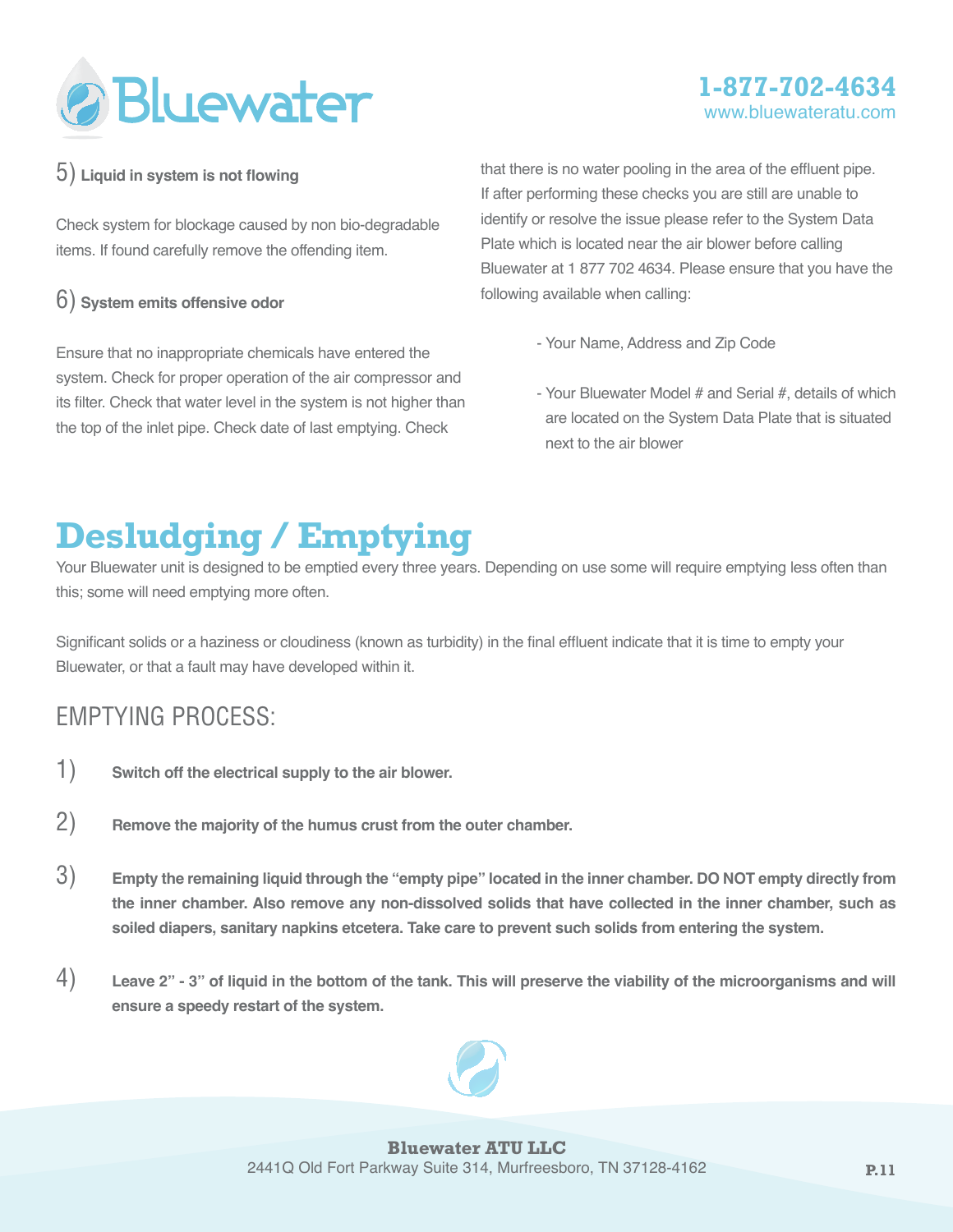

### **1-877-702-4634** www.bluewateratu

#### 5) **Liquid in system is not flowing**

Check system for blockage caused by non bio-degradable items. If found carefully remove the offending item.

#### 6) **System emits offensive odor**

Ensure that no inappropriate chemicals have entered the system. Check for proper operation of the air compressor and its filter. Check that water level in the system is not higher than the top of the inlet pipe. Check date of last emptying. Check

that there is no water pooling in the area of the effluent pipe. If after performing these checks you are still are unable to identify or resolve the issue please refer to the System Data Plate which is located near the air blower before calling Bluewater at 1 877 702 4634. Please ensure that you have the following available when calling:

- Your Name, Address and Zip Code
- Your Bluewater Model # and Serial #, details of which are located on the System Data Plate that is situated next to the air blower

# **Desludging / Emptying**

Your Bluewater unit is designed to be emptied every three years. Depending on use some will require emptying less often than this; some will need emptying more often.

Significant solids or a haziness or cloudiness (known as turbidity) in the final effluent indicate that it is time to empty your Bluewater, or that a fault may have developed within it.

### Emptying Process:

- 1) **Switch off the electrical supply to the air blower.**
- 2) **Remove the majority of the humus crust from the outer chamber.**
- 3) **Empty the remaining liquid through the "empty pipe" located in the inner chamber. DO NOT empty directly from the inner chamber. Also remove any non-dissolved solids that have collected in the inner chamber, such as soiled diapers, sanitary napkins etcetera. Take care to prevent such solids from entering the system.**
- 4) **Leave 2" 3" of liquid in the bottom of the tank. This will preserve the viability of the microorganisms and will ensure a speedy restart of the system.**